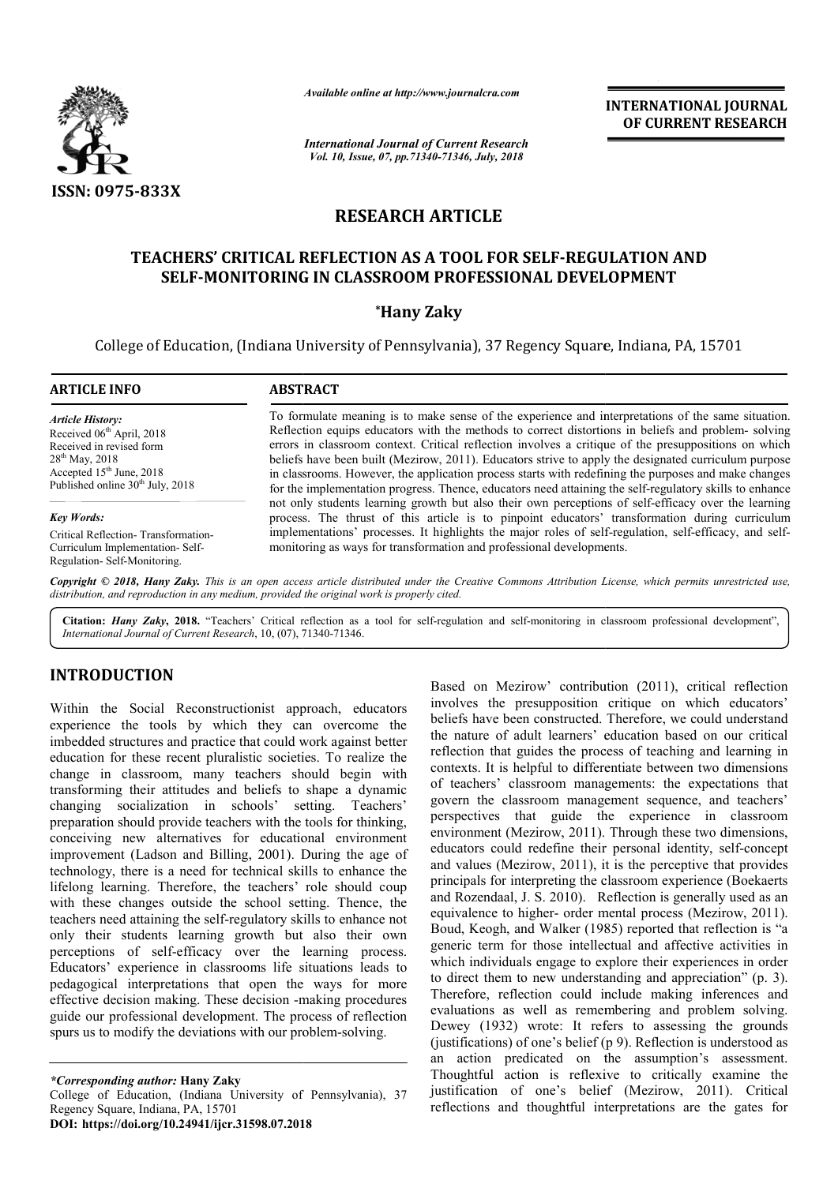

*Available online at http://www.journalcra.com*

*International Journal of Current Research Vol. 10, Issue, 07, pp.71340-71346, July, 2018*

**INTERNATIONAL JOURNAL OF CURRENT RESEARCH**

# **RESEARCH ARTICLE**

# **TEACHERS' CRITICAL REFLECTION AS A TOOL FOR SELF SELF-REGULATION AND REGULATION SELF-MONITORING IN CLASSROOM PROFESSIONAL DEVELOPMENT MONITORING \*Hany Zaky**

College of Education, (Indiana University of Pennsylvania), 37 Regency Square, Indiana, PA, 15701 37 Regency

| <b>ARTICLE INFO</b>                                                                                                                                                                               | <b>ABSTRACT</b>                                                                                                                                                                                                                                                                                                                                                                                                                                                                                                                                                                                                                             |  |
|---------------------------------------------------------------------------------------------------------------------------------------------------------------------------------------------------|---------------------------------------------------------------------------------------------------------------------------------------------------------------------------------------------------------------------------------------------------------------------------------------------------------------------------------------------------------------------------------------------------------------------------------------------------------------------------------------------------------------------------------------------------------------------------------------------------------------------------------------------|--|
| <b>Article History:</b><br>Received 06 <sup>th</sup> April, 2018<br>Received in revised form<br>$28^{th}$ May, 2018<br>Accepted $15th$ June, 2018<br>Published online 30 <sup>th</sup> July, 2018 | To formulate meaning is to make sense of the experience and interpretations of the same situation.<br>Reflection equips educators with the methods to correct distortions in beliefs and problem-solving<br>errors in classroom context. Critical reflection involves a critique of the presuppositions on which<br>beliefs have been built (Mezirow, 2011). Educators strive to apply the designated curriculum purpose<br>in classrooms. However, the application process starts with redefining the purposes and make changes<br>for the implementation progress. Thence, educators need attaining the self-regulatory skills to enhance |  |
| <b>Key Words:</b>                                                                                                                                                                                 | not only students learning growth but also their own perceptions of self-efficacy over the learning<br>process. The thrust of this article is to pinpoint educators' transformation during curriculum                                                                                                                                                                                                                                                                                                                                                                                                                                       |  |
| Critical Reflection-Transformation-<br>Curriculum Implementation-Self-<br>Regulation-Self-Monitoring.                                                                                             | implementations' processes. It highlights the major roles of self-regulation, self-efficacy, and self-<br>monitoring as ways for transformation and professional developments.                                                                                                                                                                                                                                                                                                                                                                                                                                                              |  |
|                                                                                                                                                                                                   | Conveight © 2018. Hany Zaky. This is an open access article distributed under the Creative Commons Attribution License, which permits unrestricted use                                                                                                                                                                                                                                                                                                                                                                                                                                                                                      |  |

*Copyright © 2018, Hany Zaky. This is an open access distribution, and reproduction in any medium, provided the original work is properly cited. article distributed under the Creative Commons Attribution License, License, which permits unrestricted use,*

Citation: Hany Zaky, 2018. "Teachers' Critical reflection as a tool for self-regulation and self-monitoring in classroom professional development", *International Journal of Current Research*, 10, (07), 71340 71340-71346.

# **INTRODUCTION**

Within the Social Reconstructionist approach, educators experience the tools by which they can overcome the imbedded structures and practice that could work against better education for these recent pluralistic societies. To realize the change in classroom, many teachers should begin with transforming their attitudes and beliefs to shape a dynamic changing socialization in schools' setting. Teachers' preparation should provide teachers with the tools for thinking, conceiving new alternatives for educational environment improvement (Ladson and Billing, 2001). During the age of technology, there is a need for technical skills to enhance the lifelong learning. Therefore, the teachers' role should coup with these changes outside the school setting. Thence, the teachers need attaining the self-regulatory skills to enhance not only their students learning growth but also their own perceptions of self-efficacy over the learning proce Educators' experience in classrooms life situations leads to pedagogical interpretations that open the ways for more effective decision making. These decision -making procedures guide our professional development. The process of reflection spurs us to modify the deviations with our problem-solving. wide teachers with the tools for thinking,<br>rnatives for educational environment<br>and Billing, 2001). During the age of<br>need for technical skills to enhance the<br>refore, the teachers' role should coup<br>utside the school settin -making procedu<br>process of reflect<br>problem-solving.

**Example and Mezirow' contribution (2011), critical reflection<br>and mezirow' contribution (2011), critical reflections<br>are being the presupposition critique on which educators'<br>eye can overcome the beliefs have been constru** involves the presupposition critique on which educators' beliefs have been constructed. Therefore, we could understand the nature of adult learners' education based on our critical reflection that guides the process of teaching and learning in contexts. It is helpful to differentiate between two dimensions of teachers' classroom managements: the expectations that govern the classroom management sequence, and teachers' perspectives that guide the experience in classroom perspectives that guide the experience in classroom environment (Mezirow, 2011). Through these two dimensions, educators could redefine their personal identity, self-concept and values (Mezirow, 2011), it is the perceptive that provides and values (Mezirow, 2011), it is the perceptive that provides principals for interpreting the classroom experience (Boekaerts and Rozendaal, J. S. 2010). Reflection is g generally used as an equivalence to higher- order mental process (Mezirow, 2011). Boud, Keogh, and Walker (1985) reported that reflection is "a generic term for those intellectual and affective activities in which individuals engage to explore their experiences in order to direct them to new understanding and appreciation" (p. 3). Therefore, reflection could include making inferences and evaluations as well as remembering and problem solving. Dewey (1932) wrote: It refers to assessing the grounds (justifications) of one's belief  $(p 9)$ . Reflection is understood as an action predicated on the assumption's assessment. Thoughtful action is reflexive to critically examine the justification of one's belief (Mezirow, 2011). Critical reflections and thoughtful interpretations are the gates for ed on Mezirow' contribution (2011), critical reflection<br>olves the presupposition critique on which educato<br>iefs have been constructed. Therefore, we could understa<br>nature of adult learners' education based on our critic<br>ec Keogh, and Walker (1985) reported that reflection is "a term for those intellectual and affective activities in individuals engage to explore their experiences in order to direct them to new understanding and appreciation" (p. 3).<br>Therefore, reflection could include making inferences and<br>evaluations as well as remembering and problem solving.<br>Dewey (1932) wrote: It refers to assessing th Thoughtful action is reflexive to critically examine the justification of one's belief (Mezirow, 2011). Critical reflections and thoughtful interpretations are the gates for

*<sup>\*</sup>Corresponding author:* **Hany Zaky** College of Education, (Indiana University of Pennsylvania), 37 Regency Square, Indiana, PA, 15701 **DOI: https://doi.org/10.24941/ijcr.31598.07.2018**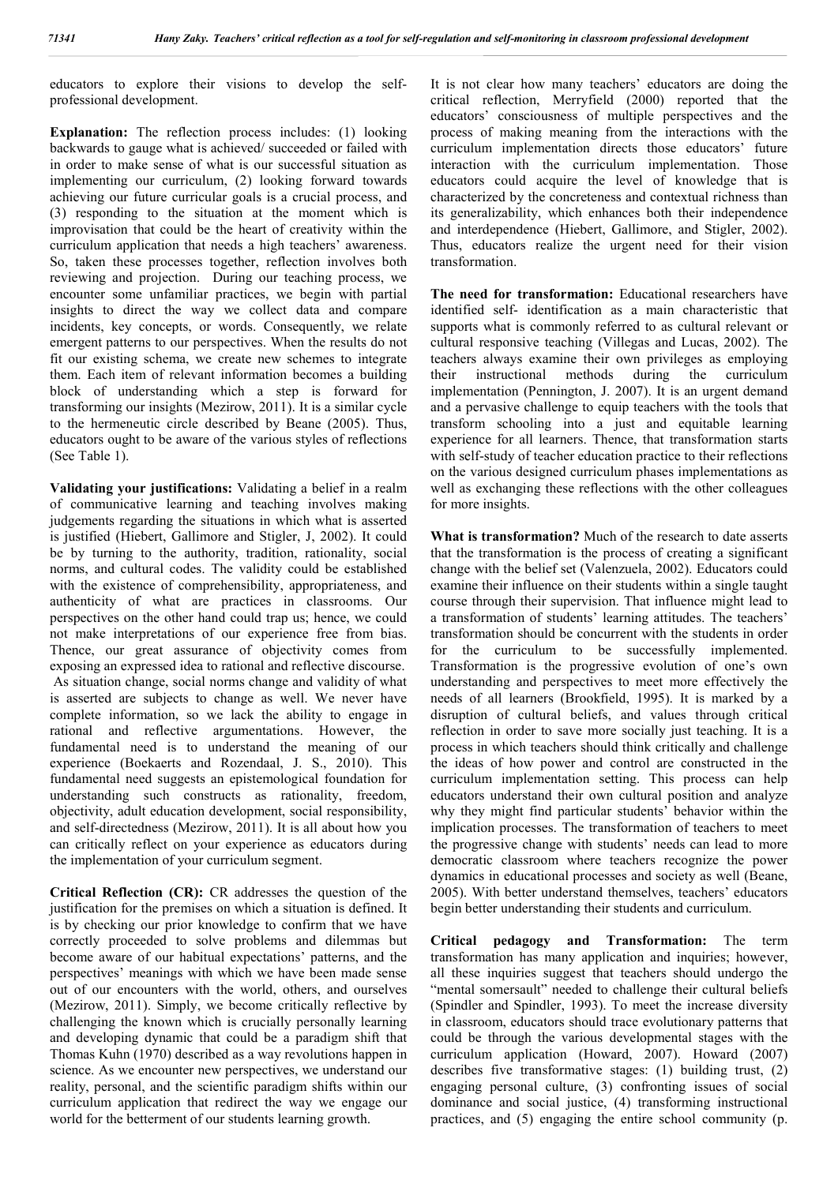educators to explore their visions to develop the selfprofessional development.

**Explanation:** The reflection process includes: (1) looking backwards to gauge what is achieved/ succeeded or failed with in order to make sense of what is our successful situation as implementing our curriculum, (2) looking forward towards achieving our future curricular goals is a crucial process, and (3) responding to the situation at the moment which is improvisation that could be the heart of creativity within the curriculum application that needs a high teachers' awareness. So, taken these processes together, reflection involves both reviewing and projection. During our teaching process, we encounter some unfamiliar practices, we begin with partial insights to direct the way we collect data and compare incidents, key concepts, or words. Consequently, we relate emergent patterns to our perspectives. When the results do not fit our existing schema, we create new schemes to integrate them. Each item of relevant information becomes a building block of understanding which a step is forward for transforming our insights (Mezirow, 2011). It is a similar cycle to the hermeneutic circle described by Beane (2005). Thus, educators ought to be aware of the various styles of reflections (See Table 1).

**Validating your justifications:** Validating a belief in a realm of communicative learning and teaching involves making judgements regarding the situations in which what is asserted is justified (Hiebert, Gallimore and Stigler, J, 2002). It could be by turning to the authority, tradition, rationality, social norms, and cultural codes. The validity could be established with the existence of comprehensibility, appropriateness, and authenticity of what are practices in classrooms. Our perspectives on the other hand could trap us; hence, we could not make interpretations of our experience free from bias. Thence, our great assurance of objectivity comes from exposing an expressed idea to rational and reflective discourse. As situation change, social norms change and validity of what is asserted are subjects to change as well. We never have complete information, so we lack the ability to engage in rational and reflective argumentations. However, the fundamental need is to understand the meaning of our experience (Boekaerts and Rozendaal, J. S., 2010). This fundamental need suggests an epistemological foundation for understanding such constructs as rationality, freedom, objectivity, adult education development, social responsibility, and self-directedness (Mezirow, 2011). It is all about how you can critically reflect on your experience as educators during the implementation of your curriculum segment.

**Critical Reflection (CR):** CR addresses the question of the justification for the premises on which a situation is defined. It is by checking our prior knowledge to confirm that we have correctly proceeded to solve problems and dilemmas but become aware of our habitual expectations' patterns, and the perspectives' meanings with which we have been made sense out of our encounters with the world, others, and ourselves (Mezirow, 2011). Simply, we become critically reflective by challenging the known which is crucially personally learning and developing dynamic that could be a paradigm shift that Thomas Kuhn (1970) described as a way revolutions happen in science. As we encounter new perspectives, we understand our reality, personal, and the scientific paradigm shifts within our curriculum application that redirect the way we engage our world for the betterment of our students learning growth.

It is not clear how many teachers' educators are doing the critical reflection, Merryfield (2000) reported that the educators' consciousness of multiple perspectives and the process of making meaning from the interactions with the curriculum implementation directs those educators' future interaction with the curriculum implementation. Those educators could acquire the level of knowledge that is characterized by the concreteness and contextual richness than its generalizability, which enhances both their independence and interdependence (Hiebert, Gallimore, and Stigler, 2002). Thus, educators realize the urgent need for their vision transformation.

**The need for transformation:** Educational researchers have identified self- identification as a main characteristic that supports what is commonly referred to as cultural relevant or cultural responsive teaching (Villegas and Lucas, 2002). The teachers always examine their own privileges as employing their instructional methods during the curriculum implementation (Pennington, J. 2007). It is an urgent demand and a pervasive challenge to equip teachers with the tools that transform schooling into a just and equitable learning experience for all learners. Thence, that transformation starts with self-study of teacher education practice to their reflections on the various designed curriculum phases implementations as well as exchanging these reflections with the other colleagues for more insights.

**What is transformation?** Much of the research to date asserts that the transformation is the process of creating a significant change with the belief set (Valenzuela, 2002). Educators could examine their influence on their students within a single taught course through their supervision. That influence might lead to a transformation of students' learning attitudes. The teachers' transformation should be concurrent with the students in order for the curriculum to be successfully implemented. Transformation is the progressive evolution of one's own understanding and perspectives to meet more effectively the needs of all learners (Brookfield, 1995). It is marked by a disruption of cultural beliefs, and values through critical reflection in order to save more socially just teaching. It is a process in which teachers should think critically and challenge the ideas of how power and control are constructed in the curriculum implementation setting. This process can help educators understand their own cultural position and analyze why they might find particular students' behavior within the implication processes. The transformation of teachers to meet the progressive change with students' needs can lead to more democratic classroom where teachers recognize the power dynamics in educational processes and society as well (Beane, 2005). With better understand themselves, teachers' educators begin better understanding their students and curriculum.

**Critical pedagogy and Transformation:** The term transformation has many application and inquiries; however, all these inquiries suggest that teachers should undergo the "mental somersault" needed to challenge their cultural beliefs (Spindler and Spindler, 1993). To meet the increase diversity in classroom, educators should trace evolutionary patterns that could be through the various developmental stages with the curriculum application (Howard, 2007). Howard (2007) describes five transformative stages: (1) building trust, (2) engaging personal culture, (3) confronting issues of social dominance and social justice, (4) transforming instructional practices, and (5) engaging the entire school community (p.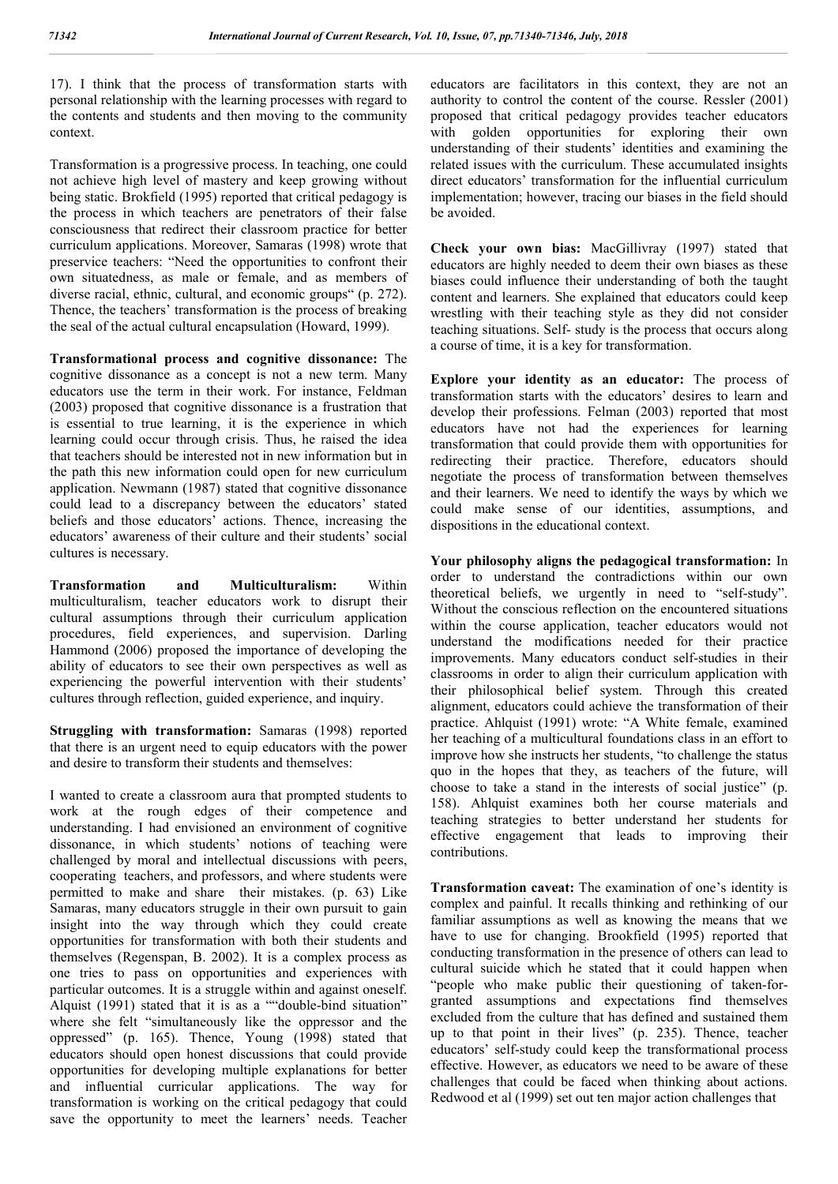17). I think that the process of transformation starts with personal relationship with the learning processes with regard to the contents and students and then moving to the community context.

Transformation is a progressive process. In teaching, one could not achieve high level of mastery and keep growing without being static. Brokfield (1995) reported that critical pedagogy is the process in which teachers are penetrators of their false consciousness that redirect their classroom practice for better curriculum applications. Moreover, Samaras (1998) wrote that preservice teachers: "Need the opportunities to confront their own situatedness, as male or female, and as members of diverse racial, ethnic, cultural, and economic groups" (p. 272). Thence, the teachers' transformation is the process of breaking the seal of the actual cultural encapsulation (Howard, 1999).

**Transformational process and cognitive dissonance:** The cognitive dissonance as a concept is not a new term. Many educators use the term in their work. For instance, Feldman (2003) proposed that cognitive dissonance is a frustration that is essential to true learning, it is the experience in which learning could occur through crisis. Thus, he raised the idea that teachers should be interested not in new information but in the path this new information could open for new curriculum application. Newmann (1987) stated that cognitive dissonance could lead to a discrepancy between the educators' stated beliefs and those educators' actions. Thence, increasing the educators' awareness of their culture and their students' social cultures is necessary.

**Transformation and Multiculturalism:** Within multiculturalism, teacher educators work to disrupt their cultural assumptions through their curriculum application procedures, field experiences, and supervision. Darling Hammond (2006) proposed the importance of developing the ability of educators to see their own perspectives as well as experiencing the powerful intervention with their students' cultures through reflection, guided experience, and inquiry.

**Struggling with transformation:** Samaras (1998) reported that there is an urgent need to equip educators with the power and desire to transform their students and themselves:

I wanted to create a classroom aura that prompted students to work at the rough edges of their competence and understanding. I had envisioned an environment of cognitive dissonance, in which students' notions of teaching were challenged by moral and intellectual discussions with peers, cooperating teachers, and professors, and where students were permitted to make and share their mistakes. (p. 63) Like Samaras, many educators struggle in their own pursuit to gain insight into the way through which they could create opportunities for transformation with both their students and themselves (Regenspan, B. 2002). It is a complex process as one tries to pass on opportunities and experiences with particular outcomes. It is a struggle within and against oneself. Alquist (1991) stated that it is as a ""double-bind situation" where she felt "simultaneously like the oppressor and the oppressed" (p. 165). Thence, Young (1998) stated that educators should open honest discussions that could provide opportunities for developing multiple explanations for better and influential curricular applications. The way for transformation is working on the critical pedagogy that could save the opportunity to meet the learners' needs. Teacher

educators are facilitators in this context, they are not an authority to control the content of the course. Ressler (2001) proposed that critical pedagogy provides teacher educators with golden opportunities for exploring their own understanding of their students' identities and examining the related issues with the curriculum. These accumulated insights direct educators' transformation for the influential curriculum implementation; however, tracing our biases in the field should be avoided.

**Check your own bias:** MacGillivray (1997) stated that educators are highly needed to deem their own biases as these biases could influence their understanding of both the taught content and learners. She explained that educators could keep wrestling with their teaching style as they did not consider teaching situations. Self- study is the process that occurs along a course of time, it is a key for transformation.

**Explore your identity as an educator:** The process of transformation starts with the educators' desires to learn and develop their professions. Felman (2003) reported that most educators have not had the experiences for learning transformation that could provide them with opportunities for redirecting their practice. Therefore, educators should negotiate the process of transformation between themselves and their learners. We need to identify the ways by which we could make sense of our identities, assumptions, and dispositions in the educational context.

**Your philosophy aligns the pedagogical transformation:** In order to understand the contradictions within our own theoretical beliefs, we urgently in need to "self-study". Without the conscious reflection on the encountered situations within the course application, teacher educators would not understand the modifications needed for their practice improvements. Many educators conduct self-studies in their classrooms in order to align their curriculum application with their philosophical belief system. Through this created alignment, educators could achieve the transformation of their practice. Ahlquist (1991) wrote: "A White female, examined her teaching of a multicultural foundations class in an effort to improve how she instructs her students, "to challenge the status quo in the hopes that they, as teachers of the future, will choose to take a stand in the interests of social justice" (p. 158). Ahlquist examines both her course materials and teaching strategies to better understand her students for effective engagement that leads to improving their contributions.

**Transformation caveat:** The examination of one's identity is complex and painful. It recalls thinking and rethinking of our familiar assumptions as well as knowing the means that we have to use for changing. Brookfield (1995) reported that conducting transformation in the presence of others can lead to cultural suicide which he stated that it could happen when "people who make public their questioning of taken-forgranted assumptions and expectations find themselves excluded from the culture that has defined and sustained them up to that point in their lives" (p. 235). Thence, teacher educators' self-study could keep the transformational process effective. However, as educators we need to be aware of these challenges that could be faced when thinking about actions. Redwood et al (1999) set out ten major action challenges that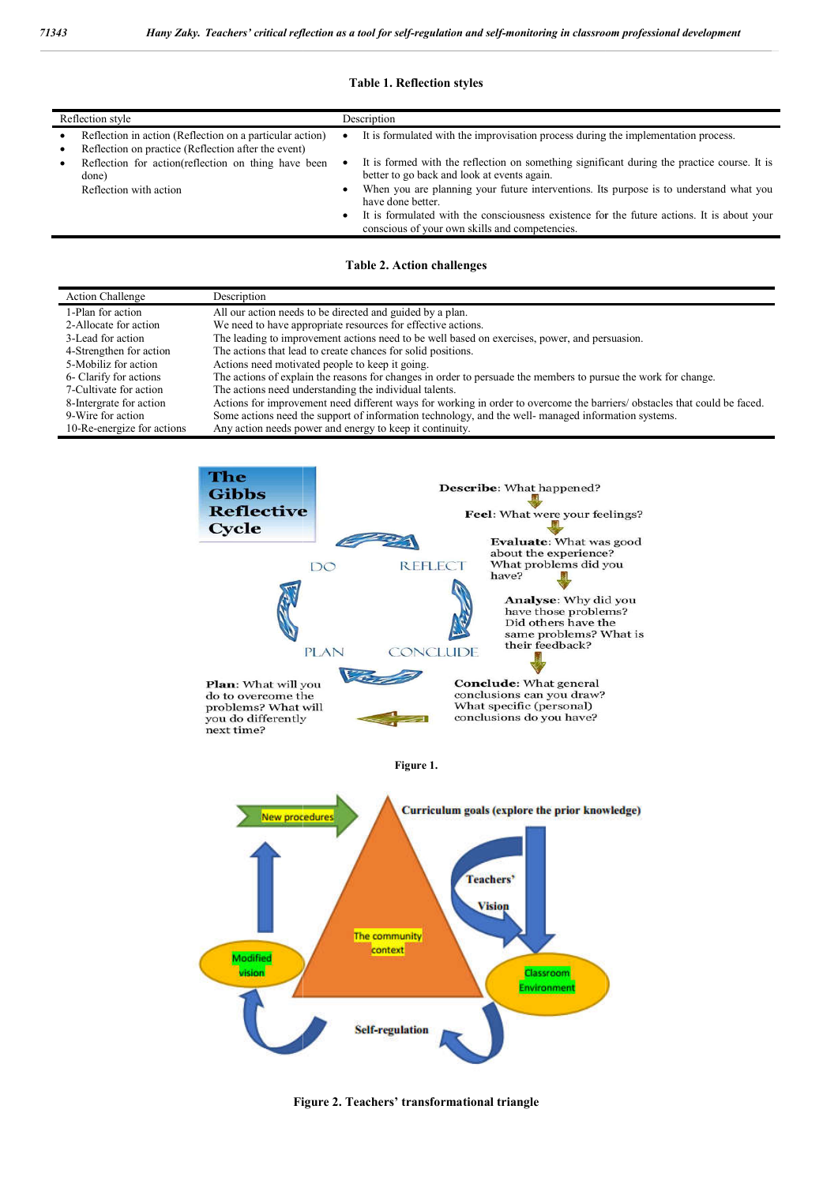### **Table 1. Reflection styles**

| 343                                                                                                                                                                                                                         |                                                 | Hany Zaky. Teachers' critical reflection as a tool for self-regulation and self-monitoring in classroom professional development                        |
|-----------------------------------------------------------------------------------------------------------------------------------------------------------------------------------------------------------------------------|-------------------------------------------------|---------------------------------------------------------------------------------------------------------------------------------------------------------|
|                                                                                                                                                                                                                             |                                                 | <b>Table 1. Reflection styles</b>                                                                                                                       |
| Reflection style                                                                                                                                                                                                            |                                                 | Description                                                                                                                                             |
| Reflection in action (Reflection on a particular action)<br>٠<br>Reflection on practice (Reflection after the event)<br>$\bullet$<br>Reflection for action(reflection on thing have been<br>done)<br>Reflection with action |                                                 | It is formulated with the improvisation process during the implementation process.                                                                      |
|                                                                                                                                                                                                                             |                                                 | It is formed with the reflection on something significant during the practice course. It is<br>$\bullet$<br>better to go back and look at events again. |
|                                                                                                                                                                                                                             |                                                 | When you are planning your future interventions. Its purpose is to understand what you<br>have done better.                                             |
|                                                                                                                                                                                                                             |                                                 | It is formulated with the consciousness existence for the future actions. It is about your<br>conscious of your own skills and competencies.            |
| <b>Action Challenge</b>                                                                                                                                                                                                     | Description                                     | <b>Table 2. Action challenges</b>                                                                                                                       |
| 1-Plan for action                                                                                                                                                                                                           |                                                 | All our action needs to be directed and guided by a plan.                                                                                               |
| 2-Allocate for action                                                                                                                                                                                                       |                                                 | We need to have appropriate resources for effective actions.                                                                                            |
| 3-Lead for action                                                                                                                                                                                                           |                                                 | The leading to improvement actions need to be well based on exercises, power, and persuasion.                                                           |
| 4-Strengthen for action                                                                                                                                                                                                     |                                                 | The actions that lead to create chances for solid positions.                                                                                            |
| 5-Mobiliz for action                                                                                                                                                                                                        | Actions need motivated people to keep it going. |                                                                                                                                                         |
| 6- Clarify for actions                                                                                                                                                                                                      |                                                 | The actions of explain the reasons for changes in order to persuade the members to pursue the work for change.                                          |
| 7-Cultivate for action                                                                                                                                                                                                      |                                                 | The actions need understanding the individual talents.                                                                                                  |
| 8-Intergrate for action                                                                                                                                                                                                     |                                                 | Actions for improvement need different ways for working in order to overcome the barriers/obstacles that could be faced.                                |

| <b>Action Challenge</b>    | Description                                                                                                               |
|----------------------------|---------------------------------------------------------------------------------------------------------------------------|
| 1-Plan for action          | All our action needs to be directed and guided by a plan.                                                                 |
| 2-Allocate for action      | We need to have appropriate resources for effective actions.                                                              |
| 3-Lead for action          | The leading to improvement actions need to be well based on exercises, power, and persuasion.                             |
| 4-Strengthen for action    | The actions that lead to create chances for solid positions.                                                              |
| 5-Mobiliz for action       | Actions need motivated people to keep it going.                                                                           |
| 6- Clarify for actions     | The actions of explain the reasons for changes in order to persuade the members to pursue the work for change.            |
| 7-Cultivate for action     | The actions need understanding the individual talents.                                                                    |
| 8-Intergrate for action    | Actions for improvement need different ways for working in order to overcome the barriers/ obstacles that could be faced. |
| 9-Wire for action          | Some actions need the support of information technology, and the well- managed information systems.                       |
| 10-Re-energize for actions | Any action needs power and energy to keep it continuity.                                                                  |
|                            |                                                                                                                           |



**Figure 2. Teachers' transformational triangle**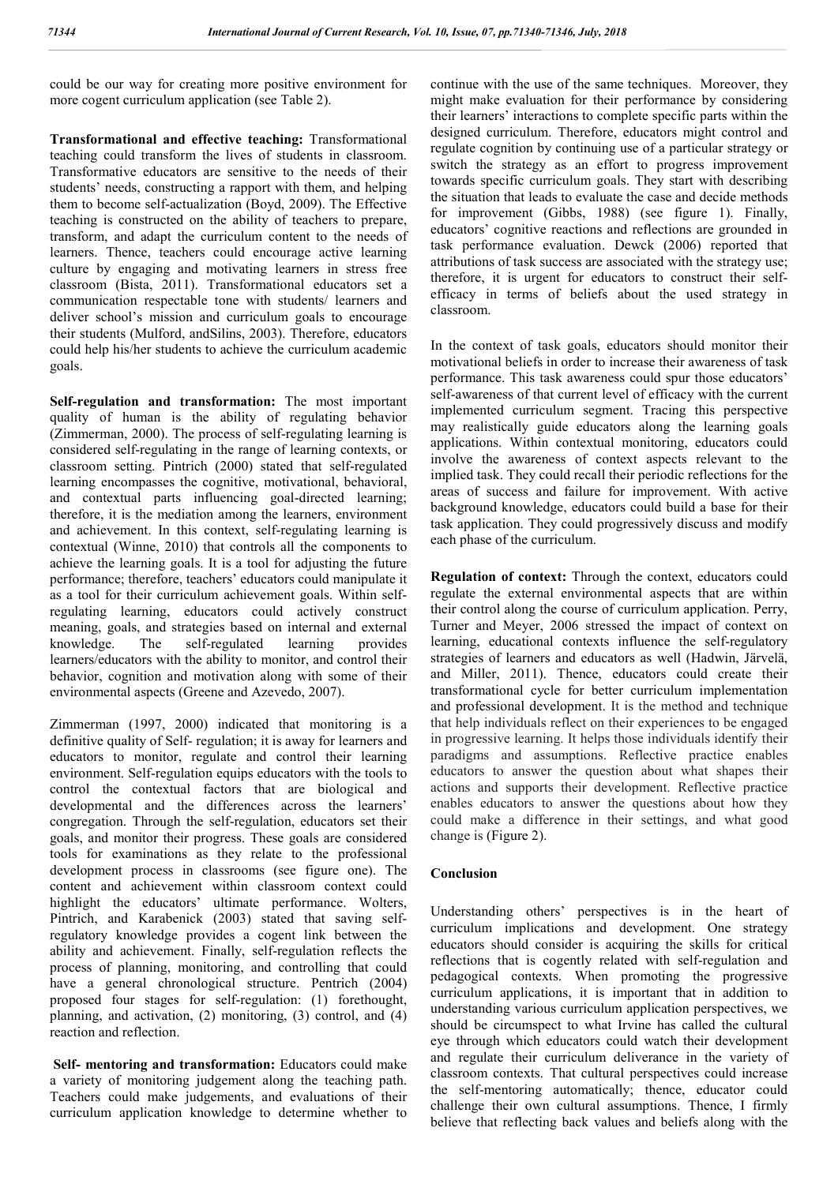could be our way for creating more positive environment for more cogent curriculum application (see Table 2).

**Transformational and effective teaching:** Transformational teaching could transform the lives of students in classroom. Transformative educators are sensitive to the needs of their students' needs, constructing a rapport with them, and helping them to become self-actualization (Boyd, 2009). The Effective teaching is constructed on the ability of teachers to prepare, transform, and adapt the curriculum content to the needs of learners. Thence, teachers could encourage active learning culture by engaging and motivating learners in stress free classroom (Bista, 2011). Transformational educators set a communication respectable tone with students/ learners and deliver school's mission and curriculum goals to encourage their students (Mulford, andSilins, 2003). Therefore, educators could help his/her students to achieve the curriculum academic goals.

**Self-regulation and transformation:** The most important quality of human is the ability of regulating behavior (Zimmerman, 2000). The process of self-regulating learning is considered self-regulating in the range of learning contexts, or classroom setting. Pintrich (2000) stated that self-regulated learning encompasses the cognitive, motivational, behavioral, and contextual parts influencing goal-directed learning; therefore, it is the mediation among the learners, environment and achievement. In this context, self-regulating learning is contextual (Winne, 2010) that controls all the components to achieve the learning goals. It is a tool for adjusting the future performance; therefore, teachers' educators could manipulate it as a tool for their curriculum achievement goals. Within selfregulating learning, educators could actively construct meaning, goals, and strategies based on internal and external knowledge. The self-regulated learning provides learners/educators with the ability to monitor, and control their behavior, cognition and motivation along with some of their environmental aspects (Greene and Azevedo, 2007).

Zimmerman (1997, 2000) indicated that monitoring is a definitive quality of Self- regulation; it is away for learners and educators to monitor, regulate and control their learning environment. Self-regulation equips educators with the tools to control the contextual factors that are biological and developmental and the differences across the learners' congregation. Through the self-regulation, educators set their goals, and monitor their progress. These goals are considered tools for examinations as they relate to the professional development process in classrooms (see figure one). The content and achievement within classroom context could highlight the educators' ultimate performance. Wolters, Pintrich, and Karabenick (2003) stated that saving selfregulatory knowledge provides a cogent link between the ability and achievement. Finally, self-regulation reflects the process of planning, monitoring, and controlling that could have a general chronological structure. Pentrich (2004) proposed four stages for self-regulation: (1) forethought, planning, and activation, (2) monitoring, (3) control, and (4) reaction and reflection.

**Self- mentoring and transformation:** Educators could make a variety of monitoring judgement along the teaching path. Teachers could make judgements, and evaluations of their curriculum application knowledge to determine whether to

continue with the use of the same techniques. Moreover, they might make evaluation for their performance by considering their learners' interactions to complete specific parts within the designed curriculum. Therefore, educators might control and regulate cognition by continuing use of a particular strategy or switch the strategy as an effort to progress improvement towards specific curriculum goals. They start with describing the situation that leads to evaluate the case and decide methods for improvement (Gibbs, 1988) (see figure 1). Finally, educators' cognitive reactions and reflections are grounded in task performance evaluation. Dewck (2006) reported that attributions of task success are associated with the strategy use; therefore, it is urgent for educators to construct their selfefficacy in terms of beliefs about the used strategy in classroom.

In the context of task goals, educators should monitor their motivational beliefs in order to increase their awareness of task performance. This task awareness could spur those educators' self-awareness of that current level of efficacy with the current implemented curriculum segment. Tracing this perspective may realistically guide educators along the learning goals applications. Within contextual monitoring, educators could involve the awareness of context aspects relevant to the implied task. They could recall their periodic reflections for the areas of success and failure for improvement. With active background knowledge, educators could build a base for their task application. They could progressively discuss and modify each phase of the curriculum.

**Regulation of context:** Through the context, educators could regulate the external environmental aspects that are within their control along the course of curriculum application. Perry, Turner and Meyer, 2006 stressed the impact of context on learning, educational contexts influence the self-regulatory strategies of learners and educators as well (Hadwin, Järvelä, and Miller, 2011). Thence, educators could create their transformational cycle for better curriculum implementation and professional development. It is the method and technique that help individuals reflect on their experiences to be engaged in progressive learning. It helps those individuals identify their paradigms and assumptions. Reflective practice enables educators to answer the question about what shapes their actions and supports their development. Reflective practice enables educators to answer the questions about how they could make a difference in their settings, and what good change is (Figure 2).

#### **Conclusion**

Understanding others' perspectives is in the heart of curriculum implications and development. One strategy educators should consider is acquiring the skills for critical reflections that is cogently related with self-regulation and pedagogical contexts. When promoting the progressive curriculum applications, it is important that in addition to understanding various curriculum application perspectives, we should be circumspect to what Irvine has called the cultural eye through which educators could watch their development and regulate their curriculum deliverance in the variety of classroom contexts. That cultural perspectives could increase the self-mentoring automatically; thence, educator could challenge their own cultural assumptions. Thence, I firmly believe that reflecting back values and beliefs along with the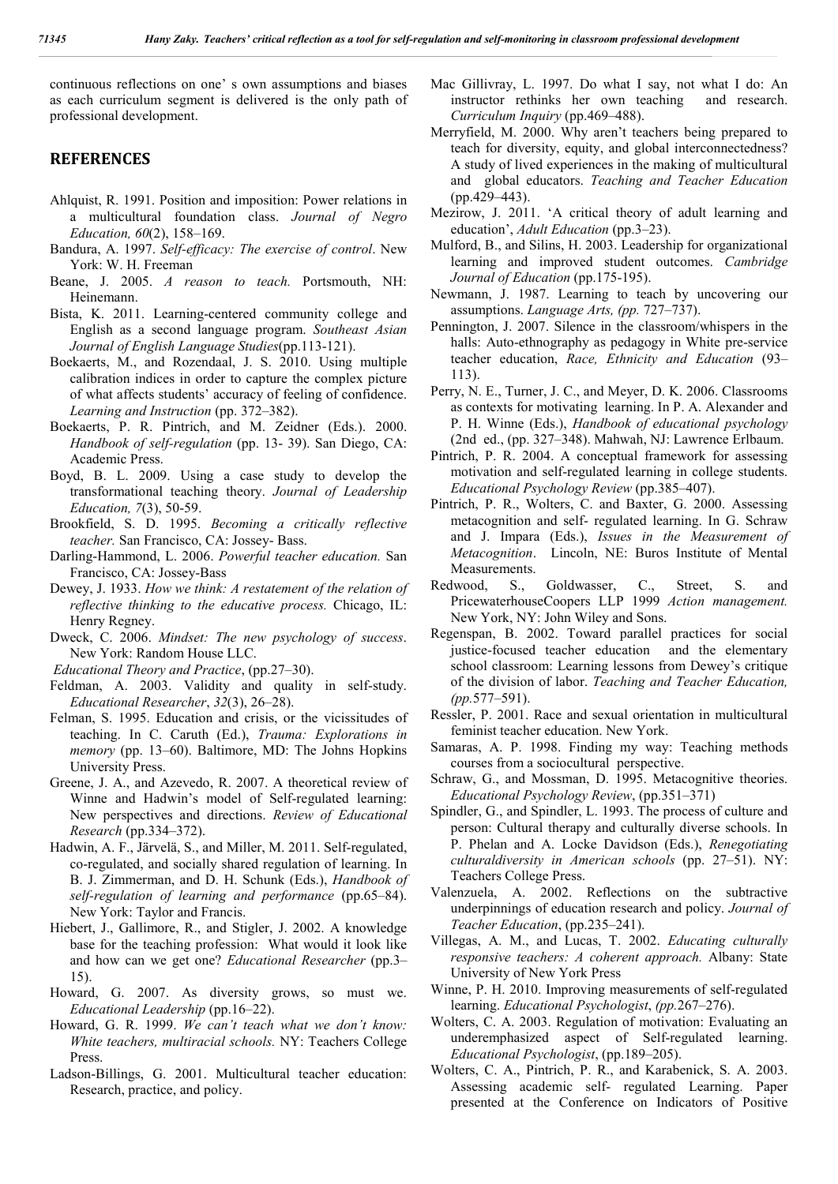continuous reflections on one' s own assumptions and biases as each curriculum segment is delivered is the only path of professional development.

## **REFERENCES**

- Ahlquist, R. 1991. Position and imposition: Power relations in a multicultural foundation class. *Journal of Negro Education, 60*(2), 158–169.
- Bandura, A. 1997. *Self-efficacy: The exercise of control*. New York: W. H. Freeman
- Beane, J. 2005. *A reason to teach.* Portsmouth, NH: Heinemann.
- Bista, K. 2011. Learning-centered community college and English as a second language program. *Southeast Asian Journal of English Language Studies*(pp.113-121).
- Boekaerts, M., and Rozendaal, J. S. 2010. Using multiple calibration indices in order to capture the complex picture of what affects students' accuracy of feeling of confidence. *Learning and Instruction* (pp. 372–382).
- Boekaerts, P. R. Pintrich, and M. Zeidner (Eds.). 2000. *Handbook of self-regulation* (pp. 13- 39). San Diego, CA: Academic Press.
- Boyd, B. L. 2009. Using a case study to develop the transformational teaching theory. *Journal of Leadership Education, 7*(3), 50-59.
- Brookfield, S. D. 1995. *Becoming a critically reflective teacher.* San Francisco, CA: Jossey- Bass.
- Darling-Hammond, L. 2006. *Powerful teacher education.* San Francisco, CA: Jossey-Bass
- Dewey, J. 1933. *How we think: A restatement of the relation of reflective thinking to the educative process.* Chicago, IL: Henry Regney.
- Dweck, C. 2006. *Mindset: The new psychology of success*. New York: Random House LLC.
- *Educational Theory and Practice*, (pp.27–30).
- Feldman, A. 2003. Validity and quality in self-study. *Educational Researcher*, *32*(3), 26–28).
- Felman, S. 1995. Education and crisis, or the vicissitudes of teaching. In C. Caruth (Ed.), *Trauma: Explorations in memory* (pp. 13–60). Baltimore, MD: The Johns Hopkins University Press.
- Greene, J. A., and Azevedo, R. 2007. A theoretical review of Winne and Hadwin's model of Self-regulated learning: New perspectives and directions. *Review of Educational Research* (pp.334–372).
- Hadwin, A. F., Järvelä, S., and Miller, M. 2011. Self-regulated, co-regulated, and socially shared regulation of learning. In B. J. Zimmerman, and D. H. Schunk (Eds.), *Handbook of self-regulation of learning and performance* (pp.65–84). New York: Taylor and Francis.
- Hiebert, J., Gallimore, R., and Stigler, J. 2002. A knowledge base for the teaching profession: What would it look like and how can we get one? *Educational Researcher* (pp.3– 15).
- Howard, G. 2007. As diversity grows, so must we. *Educational Leadership* (pp.16–22).
- Howard, G. R. 1999. *We can't teach what we don't know: White teachers, multiracial schools.* NY: Teachers College Press.
- Ladson-Billings, G. 2001. Multicultural teacher education: Research, practice, and policy.
- Mac Gillivray, L. 1997. Do what I say, not what I do: An instructor rethinks her own teaching and research. *Curriculum Inquiry* (pp.469–488).
- Merryfield, M. 2000. Why aren't teachers being prepared to teach for diversity, equity, and global interconnectedness? A study of lived experiences in the making of multicultural and global educators. *Teaching and Teacher Education* (pp.429–443).
- Mezirow, J. 2011. 'A critical theory of adult learning and education', *Adult Education* (pp.3–23).
- Mulford, B., and Silins, H. 2003. Leadership for organizational learning and improved student outcomes. *Cambridge Journal of Education* (pp.175-195).
- Newmann, J. 1987. Learning to teach by uncovering our assumptions. *Language Arts, (pp.* 727–737).
- Pennington, J. 2007. Silence in the classroom/whispers in the halls: Auto-ethnography as pedagogy in White pre-service teacher education, *Race, Ethnicity and Education* (93– 113).
- Perry, N. E., Turner, J. C., and Meyer, D. K. 2006. Classrooms as contexts for motivating learning. In P. A. Alexander and P. H. Winne (Eds.), *Handbook of educational psychology*  (2nd ed., (pp. 327–348). Mahwah, NJ: Lawrence Erlbaum.
- Pintrich, P. R. 2004. A conceptual framework for assessing motivation and self-regulated learning in college students. *Educational Psychology Review* (pp.385–407).
- Pintrich, P. R., Wolters, C. and Baxter, G. 2000. Assessing metacognition and self- regulated learning. In G. Schraw and J. Impara (Eds.), *Issues in the Measurement of Metacognition*. Lincoln, NE: Buros Institute of Mental Measurements.
- Redwood, S., Goldwasser, C., Street, S. and PricewaterhouseCoopers LLP 1999 *Action management.*  New York, NY: John Wiley and Sons.
- Regenspan, B. 2002. Toward parallel practices for social justice-focused teacher education and the elementary school classroom: Learning lessons from Dewey's critique of the division of labor. *Teaching and Teacher Education, (pp.*577–591).
- Ressler, P. 2001. Race and sexual orientation in multicultural feminist teacher education. New York.
- Samaras, A. P. 1998. Finding my way: Teaching methods courses from a sociocultural perspective.
- Schraw, G., and Mossman, D. 1995. Metacognitive theories. *Educational Psychology Review*, (pp.351–371)
- Spindler, G., and Spindler, L. 1993. The process of culture and person: Cultural therapy and culturally diverse schools. In P. Phelan and A. Locke Davidson (Eds.), *Renegotiating culturaldiversity in American schools* (pp. 27–51). NY: Teachers College Press.
- Valenzuela, A. 2002. Reflections on the subtractive underpinnings of education research and policy. *Journal of Teacher Education*, (pp.235–241).
- Villegas, A. M., and Lucas, T. 2002. *Educating culturally responsive teachers: A coherent approach.* Albany: State University of New York Press
- Winne, P. H. 2010. Improving measurements of self-regulated learning. *Educational Psychologist*, *(pp.*267–276).
- Wolters, C. A. 2003. Regulation of motivation: Evaluating an underemphasized aspect of Self-regulated learning. *Educational Psychologist*, (pp.189–205).
- Wolters, C. A., Pintrich, P. R., and Karabenick, S. A. 2003. Assessing academic self- regulated Learning. Paper presented at the Conference on Indicators of Positive